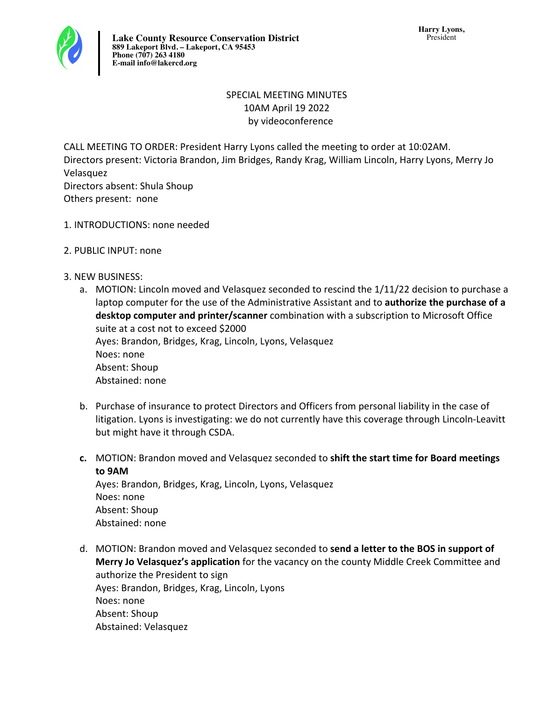

## SPECIAL MEETING MINUTES 10AM April 19 2022 by videoconference

CALL MEETING TO ORDER: President Harry Lyons called the meeting to order at 10:02AM. Directors present: Victoria Brandon, Jim Bridges, Randy Krag, William Lincoln, Harry Lyons, Merry Jo Velasquez Directors absent: Shula Shoup Others present: none

- 1. INTRODUCTIONS: none needed
- 2. PUBLIC INPUT: none
- 3. NEW BUSINESS:
	- a. MOTION: Lincoln moved and Velasquez seconded to rescind the  $1/11/22$  decision to purchase a laptop computer for the use of the Administrative Assistant and to **authorize the purchase of a desktop computer and printer/scanner** combination with a subscription to Microsoft Office suite at a cost not to exceed \$2000 Ayes: Brandon, Bridges, Krag, Lincoln, Lyons, Velasquez Noes: none Absent: Shoup Abstained: none
	- b. Purchase of insurance to protect Directors and Officers from personal liability in the case of litigation. Lyons is investigating: we do not currently have this coverage through Lincoln-Leavitt but might have it through CSDA.
	- **c.** MOTION: Brandon moved and Velasquez seconded to shift the start time for Board meetings **to 9AM**  Ayes: Brandon, Bridges, Krag, Lincoln, Lyons, Velasquez

Noes: none Absent: Shoup Abstained: none

d. MOTION: Brandon moved and Velasquez seconded to **send a letter to the BOS in support of Merry Jo Velasquez's application** for the vacancy on the county Middle Creek Committee and authorize the President to sign Ayes: Brandon, Bridges, Krag, Lincoln, Lyons Noes: none Absent: Shoup Abstained: Velasquez